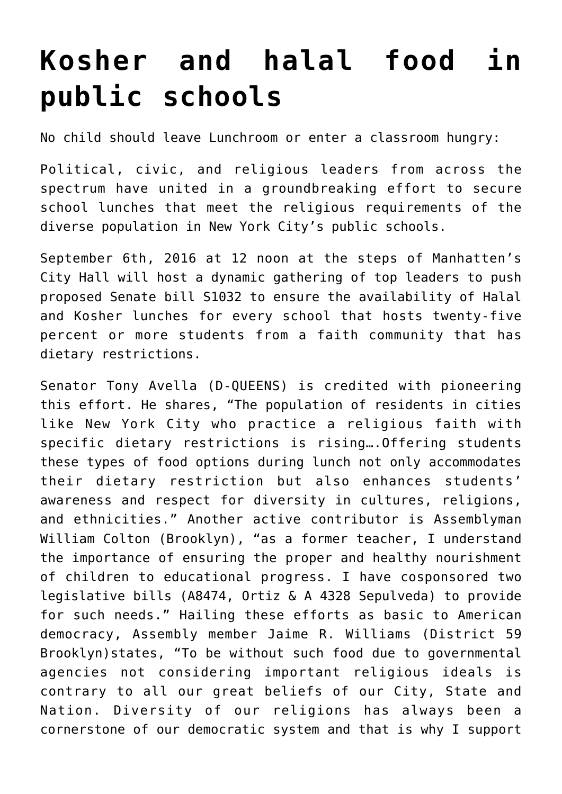## **[Kosher and halal food in](http://noahide.org/kosher-and-halal-food-in-public-schools/) [public schools](http://noahide.org/kosher-and-halal-food-in-public-schools/)**

No child should leave Lunchroom or enter a classroom hungry:

Political, civic, and religious leaders from across the spectrum have united in a groundbreaking effort to secure school lunches that meet the religious requirements of the diverse population in New York City's public schools.

September 6th, 2016 at 12 noon at the steps of Manhatten's City Hall will host a dynamic gathering of top leaders to push proposed Senate bill S1032 to ensure the availability of Halal and Kosher lunches for every school that hosts twenty-five percent or more students from a faith community that has dietary restrictions.

Senator Tony Avella (D-QUEENS) is credited with pioneering this effort. He shares, "The population of residents in cities like New York City who practice a religious faith with specific dietary restrictions is rising….Offering students these types of food options during lunch not only accommodates their dietary restriction but also enhances students' awareness and respect for diversity in cultures, religions, and ethnicities." Another active contributor is Assemblyman William Colton (Brooklyn), "as a former teacher, I understand the importance of ensuring the proper and healthy nourishment of children to educational progress. I have cosponsored two legislative bills (A8474, Ortiz & A 4328 Sepulveda) to provide for such needs." Hailing these efforts as basic to American democracy, Assembly member Jaime R. Williams (District 59 Brooklyn)states, "To be without such food due to governmental agencies not considering important religious ideals is contrary to all our great beliefs of our City, State and Nation. Diversity of our religions has always been a cornerstone of our democratic system and that is why I support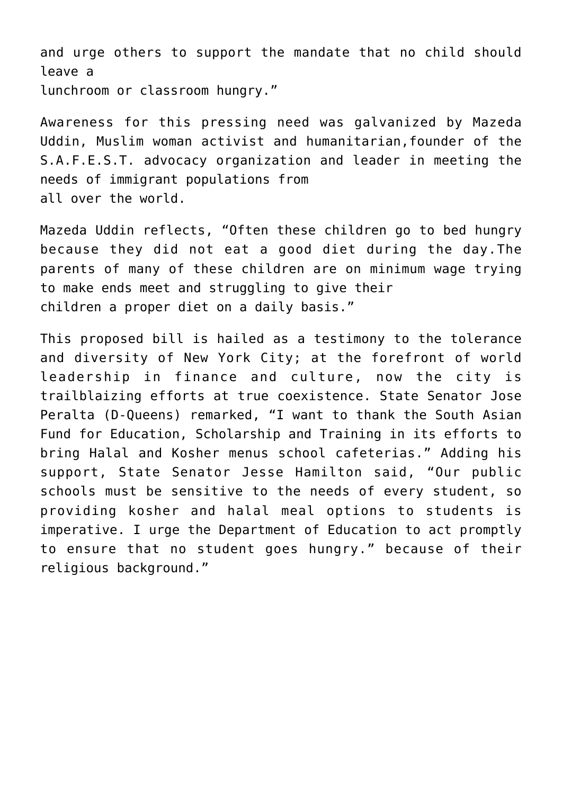and urge others to support the mandate that no child should leave a lunchroom or classroom hungry."

Awareness for this pressing need was galvanized by Mazeda Uddin, Muslim woman activist and humanitarian,founder of the S.A.F.E.S.T. advocacy organization and leader in meeting the needs of immigrant populations from all over the world.

Mazeda Uddin reflects, "Often these children go to bed hungry because they did not eat a good diet during the day.The parents of many of these children are on minimum wage trying to make ends meet and struggling to give their children a proper diet on a daily basis."

This proposed bill is hailed as a testimony to the tolerance and diversity of New York City; at the forefront of world leadership in finance and culture, now the city is trailblaizing efforts at true coexistence. State Senator Jose Peralta (D-Queens) remarked, "I want to thank the South Asian Fund for Education, Scholarship and Training in its efforts to bring Halal and Kosher menus school cafeterias." Adding his support, State Senator Jesse Hamilton said, "Our public schools must be sensitive to the needs of every student, so providing kosher and halal meal options to students is imperative. I urge the Department of Education to act promptly to ensure that no student goes hungry." because of their religious background."